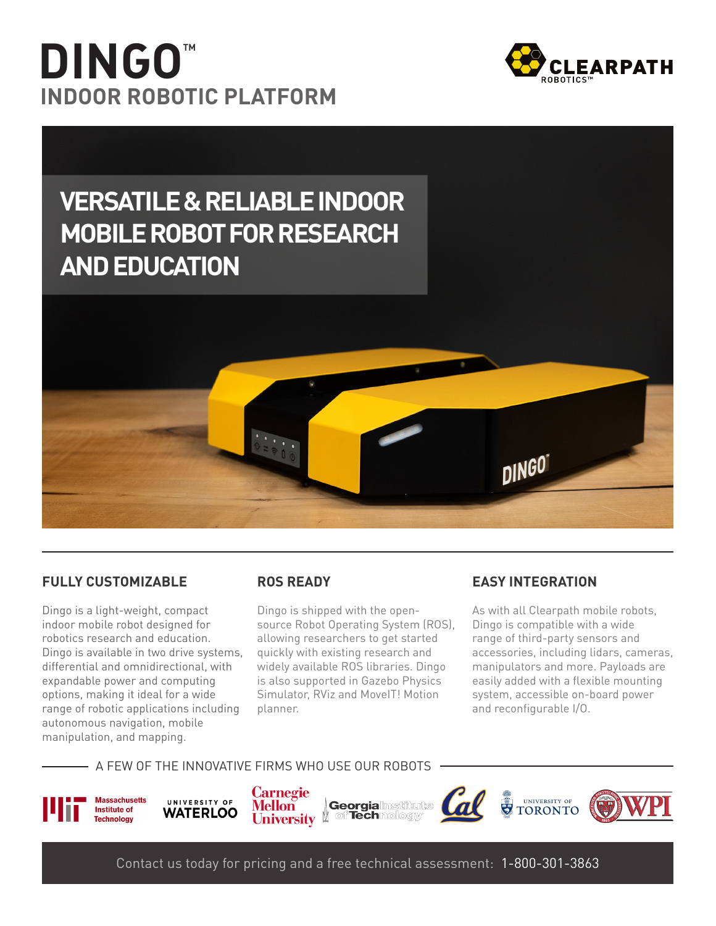# **TM DINGO INDOOR ROBOTIC PLATFORM**





#### **FULLY CUSTOMIZABLE**

Dingo is a light-weight, compact indoor mobile robot designed for robotics research and education. Dingo is available in two drive systems, differential and omnidirectional, with expandable power and computing options, making it ideal for a wide range of robotic applications including autonomous navigation, mobile manipulation, and mapping.

#### **ROS READY**

source Robot Operating System (ROS), Dingo is shipped with the openallowing researchers to get started quickly with existing research and widely available ROS libraries. Dingo is also supported in Gazebo Physics Simulator, RViz and MovelT! Motion .planner

#### **FASY INTEGRATION**

As with all Clearpath mobile robots, Dingo is compatible with a wide range of third-party sensors and accessories, including lidars, cameras, manipulators and more. Payloads are easily added with a flexible mounting system, accessible on-board power and reconfigurable I/O.

#### A FEW OF THE INNOVATIVE FIRMS WHO USE OUR ROBOTS



UNIVERSITY OF **WATERLOO** 

**Carnegie Georgialmstitute Mellon** of Technology University <sup>[]</sup>



Contact us today for pricing and a free technical assessment: 1-800-301-3863